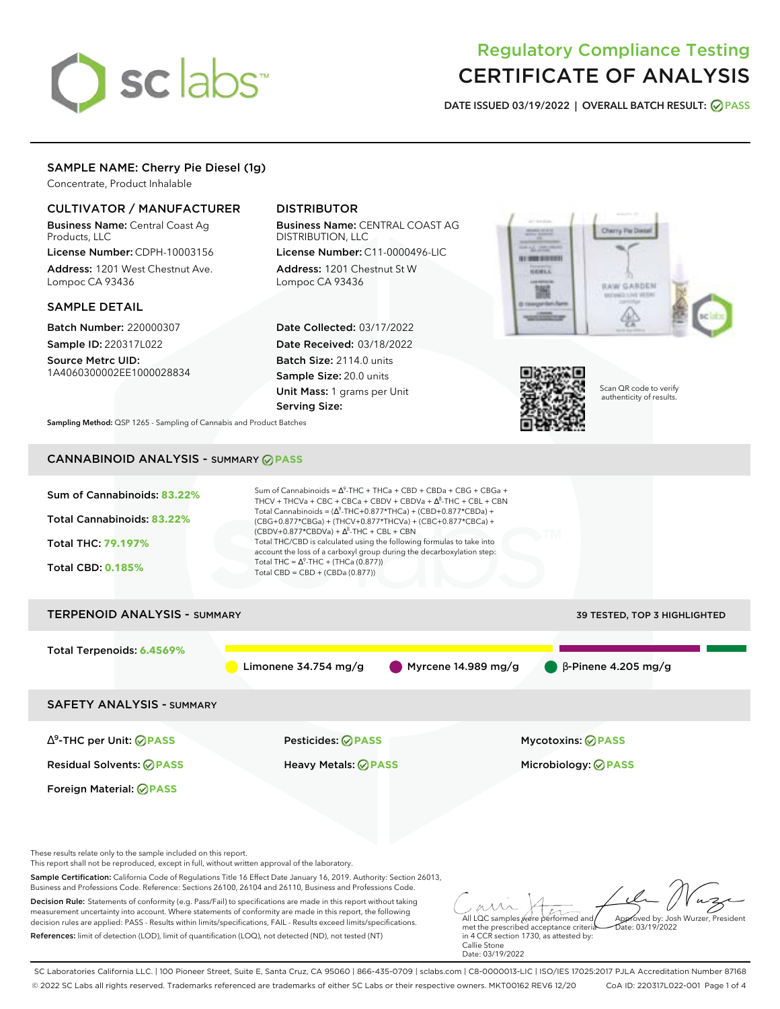# sclabs<sup>\*</sup>

# Regulatory Compliance Testing CERTIFICATE OF ANALYSIS

**DATE ISSUED 03/19/2022 | OVERALL BATCH RESULT: PASS**

#### SAMPLE NAME: Cherry Pie Diesel (1g)

Concentrate, Product Inhalable

### CULTIVATOR / MANUFACTURER

Business Name: Central Coast Ag Products, LLC

License Number: CDPH-10003156 Address: 1201 West Chestnut Ave. Lompoc CA 93436

#### SAMPLE DETAIL

Batch Number: 220000307 Sample ID: 220317L022

Source Metrc UID: 1A4060300002EE1000028834

## DISTRIBUTOR

Business Name: CENTRAL COAST AG DISTRIBUTION, LLC

License Number: C11-0000496-LIC Address: 1201 Chestnut St W Lompoc CA 93436

Date Collected: 03/17/2022 Date Received: 03/18/2022 Batch Size: 2114.0 units Sample Size: 20.0 units Unit Mass: 1 grams per Unit Serving Size:





Scan QR code to verify authenticity of results.

**Sampling Method:** QSP 1265 - Sampling of Cannabis and Product Batches

# CANNABINOID ANALYSIS - SUMMARY **PASS**



References: limit of detection (LOD), limit of quantification (LOQ), not detected (ND), not tested (NT)

met the prescribed acceptance criteria in 4 CCR section 1730, as attested by: Callie Stone Date: 03/19/2022 Date: 03/19/2022

SC Laboratories California LLC. | 100 Pioneer Street, Suite E, Santa Cruz, CA 95060 | 866-435-0709 | sclabs.com | C8-0000013-LIC | ISO/IES 17025:2017 PJLA Accreditation Number 87168 © 2022 SC Labs all rights reserved. Trademarks referenced are trademarks of either SC Labs or their respective owners. MKT00162 REV6 12/20 CoA ID: 220317L022-001 Page 1 of 4